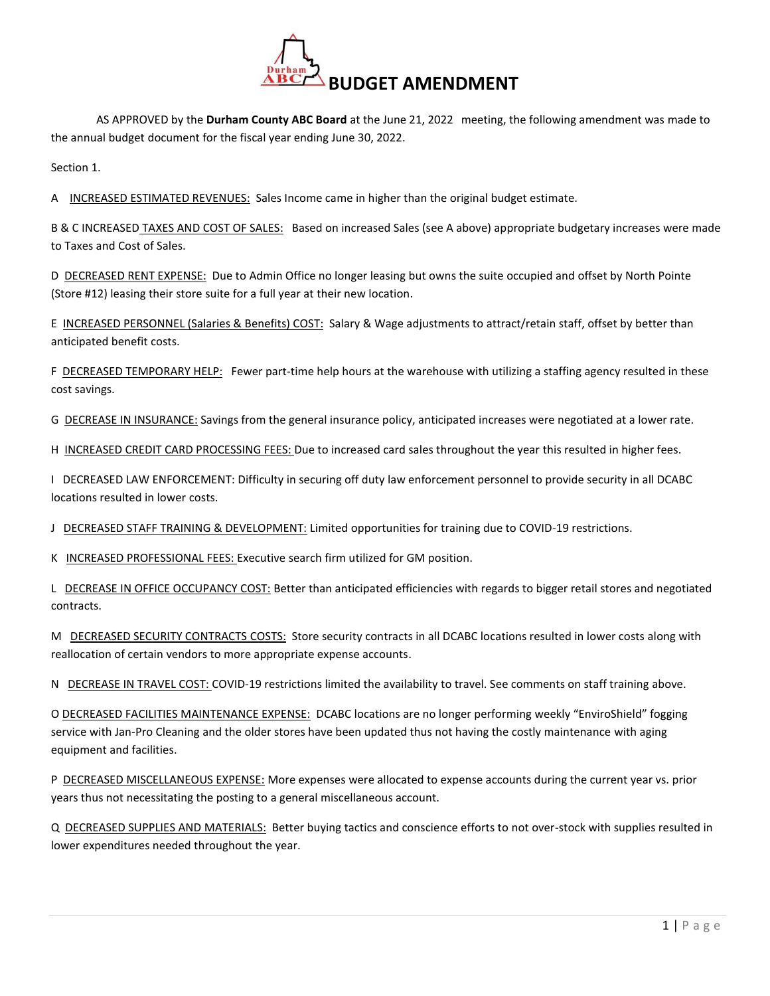

AS APPROVED by the **Durham County ABC Board** at the June 21, 2022 meeting, the following amendment was made to the annual budget document for the fiscal year ending June 30, 2022.

Section 1.

A INCREASED ESTIMATED REVENUES: Sales Income came in higher than the original budget estimate.

B & C INCREASED TAXES AND COST OF SALES: Based on increased Sales (see A above) appropriate budgetary increases were made to Taxes and Cost of Sales.

D DECREASED RENT EXPENSE: Due to Admin Office no longer leasing but owns the suite occupied and offset by North Pointe (Store #12) leasing their store suite for a full year at their new location.

E INCREASED PERSONNEL (Salaries & Benefits) COST: Salary & Wage adjustments to attract/retain staff, offset by better than anticipated benefit costs.

F DECREASED TEMPORARY HELP: Fewer part-time help hours at the warehouse with utilizing a staffing agency resulted in these cost savings.

G DECREASE IN INSURANCE: Savings from the general insurance policy, anticipated increases were negotiated at a lower rate.

H INCREASED CREDIT CARD PROCESSING FEES: Due to increased card sales throughout the year this resulted in higher fees.

I DECREASED LAW ENFORCEMENT: Difficulty in securing off duty law enforcement personnel to provide security in all DCABC locations resulted in lower costs.

J DECREASED STAFF TRAINING & DEVELOPMENT: Limited opportunities for training due to COVID-19 restrictions.

K INCREASED PROFESSIONAL FEES: Executive search firm utilized for GM position.

L DECREASE IN OFFICE OCCUPANCY COST: Better than anticipated efficiencies with regards to bigger retail stores and negotiated contracts.

M DECREASED SECURITY CONTRACTS COSTS: Store security contracts in all DCABC locations resulted in lower costs along with reallocation of certain vendors to more appropriate expense accounts.

N DECREASE IN TRAVEL COST: COVID-19 restrictions limited the availability to travel. See comments on staff training above.

O DECREASED FACILITIES MAINTENANCE EXPENSE: DCABC locations are no longer performing weekly "EnviroShield" fogging service with Jan-Pro Cleaning and the older stores have been updated thus not having the costly maintenance with aging equipment and facilities.

P DECREASED MISCELLANEOUS EXPENSE: More expenses were allocated to expense accounts during the current year vs. prior years thus not necessitating the posting to a general miscellaneous account.

Q DECREASED SUPPLIES AND MATERIALS: Better buying tactics and conscience efforts to not over-stock with supplies resulted in lower expenditures needed throughout the year.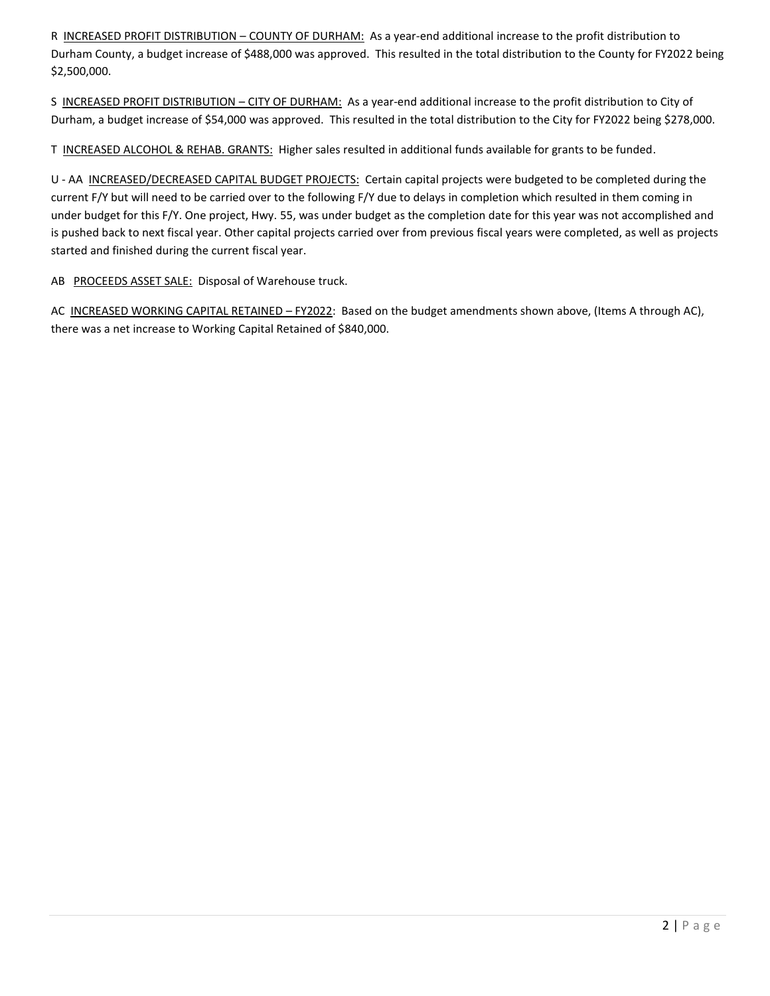R INCREASED PROFIT DISTRIBUTION - COUNTY OF DURHAM: As a year-end additional increase to the profit distribution to Durham County, a budget increase of \$488,000 was approved. This resulted in the total distribution to the County for FY2022 being \$2,500,000.

S INCREASED PROFIT DISTRIBUTION – CITY OF DURHAM: As a year-end additional increase to the profit distribution to City of Durham, a budget increase of \$54,000 was approved. This resulted in the total distribution to the City for FY2022 being \$278,000.

T INCREASED ALCOHOL & REHAB. GRANTS: Higher sales resulted in additional funds available for grants to be funded.

U - AA INCREASED/DECREASED CAPITAL BUDGET PROJECTS: Certain capital projects were budgeted to be completed during the current F/Y but will need to be carried over to the following F/Y due to delays in completion which resulted in them coming in under budget for this F/Y. One project, Hwy. 55, was under budget as the completion date for this year was not accomplished and is pushed back to next fiscal year. Other capital projects carried over from previous fiscal years were completed, as well as projects started and finished during the current fiscal year.

AB PROCEEDS ASSET SALE: Disposal of Warehouse truck.

AC INCREASED WORKING CAPITAL RETAINED - FY2022: Based on the budget amendments shown above, (Items A through AC), there was a net increase to Working Capital Retained of \$840,000.